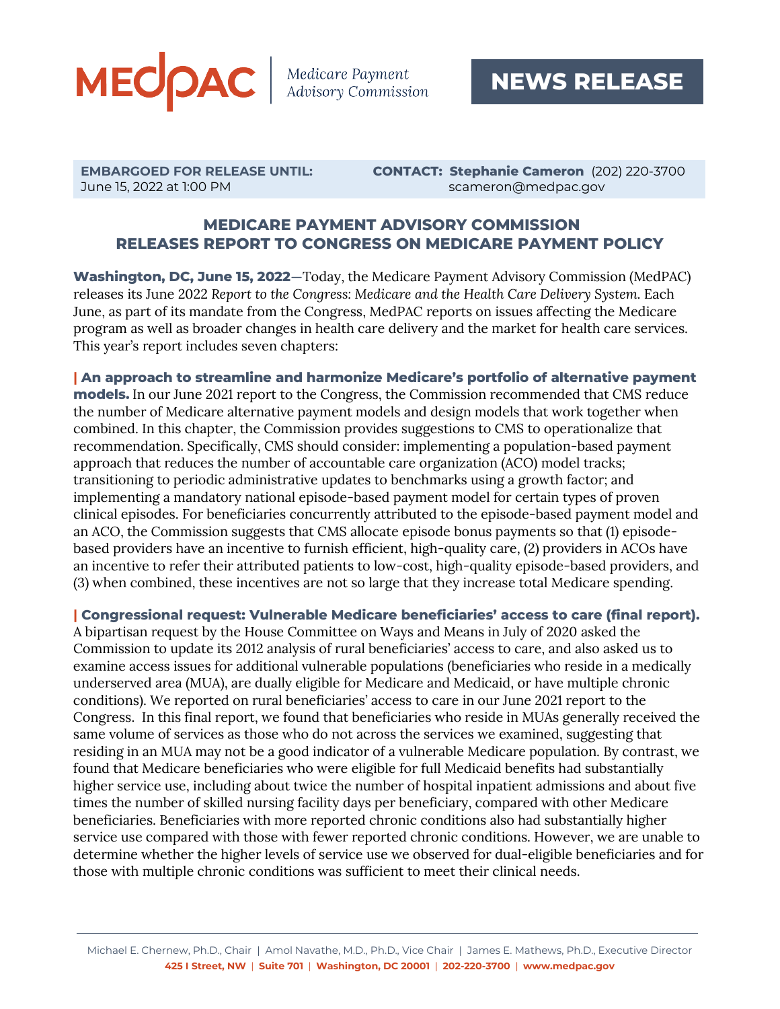

June 15, 2022 at 1:00 PMscameron@medpac.gov

**EMBARGOED FOR RELEASE UNTIL: CONTACT: Stephanie Cameron** (202) 220-3700

## **MEDICARE PAYMENT ADVISORY COMMISSION RELEASES REPORT TO CONGRESS ON MEDICARE PAYMENT POLICY**

**Washington, DC, June 15, 2022**—Today, the Medicare Payment Advisory Commission (MedPAC) releases its June 2022 Report to the Congress: Medicare and the Health Care Delivery System. Each June, as part of its mandate from the Congress, MedPAC reports on issues affecting the Medicare program as well as broader changes in health care delivery and the market for health care services. This year's report includes seven chapters:

**| An approach to streamline and harmonize Medicare's portfolio of alternative payment models.** In our June 2021 report to the Congress, the Commission recommended that CMS reduce the number of Medicare alternative payment models and design models that work together when combined. In this chapter, the Commission provides suggestions to CMS to operationalize that recommendation. Specifically, CMS should consider: implementing a population-based payment approach that reduces the number of accountable care organization (ACO) model tracks; transitioning to periodic administrative updates to benchmarks using a growth factor; and implementing a mandatory national episode-based payment model for certain types of proven clinical episodes. For beneficiaries concurrently attributed to the episode-based payment model and an ACO, the Commission suggests that CMS allocate episode bonus payments so that (1) episodebased providers have an incentive to furnish efficient, high-quality care, (2) providers in ACOs have an incentive to refer their attributed patients to low-cost, high-quality episode-based providers, and (3) when combined, these incentives are not so large that they increase total Medicare spending.

**| Congressional request: Vulnerable Medicare beneficiaries' access to care (final report).**

A bipartisan request by the House Committee on Ways and Means in July of 2020 asked the Commission to update its 2012 analysis of rural beneficiaries' access to care, and also asked us to examine access issues for additional vulnerable populations (beneficiaries who reside in a medically underserved area (MUA), are dually eligible for Medicare and Medicaid, or have multiple chronic conditions). We reported on rural beneficiaries' access to care in our June 2021 report to the Congress. In this final report, we found that beneficiaries who reside in MUAs generally received the same volume of services as those who do not across the services we examined, suggesting that residing in an MUA may not be a good indicator of a vulnerable Medicare population. By contrast, we found that Medicare beneficiaries who were eligible for full Medicaid benefits had substantially higher service use, including about twice the number of hospital inpatient admissions and about five times the number of skilled nursing facility days per beneficiary, compared with other Medicare beneficiaries. Beneficiaries with more reported chronic conditions also had substantially higher service use compared with those with fewer reported chronic conditions. However, we are unable to determine whether the higher levels of service use we observed for dual-eligible beneficiaries and for those with multiple chronic conditions was sufficient to meet their clinical needs.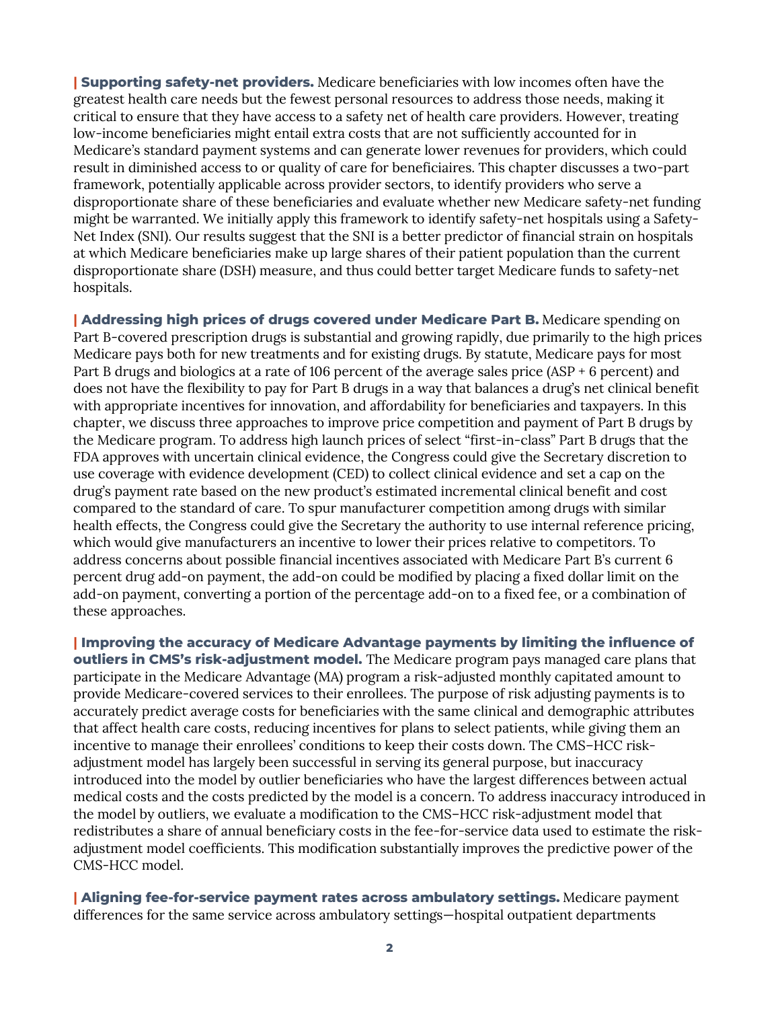**| Supporting safety-net providers.** Medicare beneficiaries with low incomes often have the greatest health care needs but the fewest personal resources to address those needs, making it critical to ensure that they have access to a safety net of health care providers. However, treating low-income beneficiaries might entail extra costs that are not sufficiently accounted for in Medicare's standard payment systems and can generate lower revenues for providers, which could result in diminished access to or quality of care for beneficiaires. This chapter discusses a two-part framework, potentially applicable across provider sectors, to identify providers who serve a disproportionate share of these beneficiaries and evaluate whether new Medicare safety-net funding might be warranted. We initially apply this framework to identify safety-net hospitals using a Safety-Net Index (SNI). Our results suggest that the SNI is a better predictor of financial strain on hospitals at which Medicare beneficiaries make up large shares of their patient population than the current disproportionate share (DSH) measure, and thus could better target Medicare funds to safety-net hospitals.

**| Addressing high prices of drugs covered under Medicare Part B.** Medicare spending on Part B-covered prescription drugs is substantial and growing rapidly, due primarily to the high prices Medicare pays both for new treatments and for existing drugs. By statute, Medicare pays for most Part B drugs and biologics at a rate of 106 percent of the average sales price (ASP + 6 percent) and does not have the flexibility to pay for Part B drugs in a way that balances a drug's net clinical benefit with appropriate incentives for innovation, and affordability for beneficiaries and taxpayers. In this chapter, we discuss three approaches to improve price competition and payment of Part B drugs by the Medicare program. To address high launch prices of select "first-in-class" Part B drugs that the FDA approves with uncertain clinical evidence, the Congress could give the Secretary discretion to use coverage with evidence development (CED) to collect clinical evidence and set a cap on the drug's payment rate based on the new product's estimated incremental clinical benefit and cost compared to the standard of care. To spur manufacturer competition among drugs with similar health effects, the Congress could give the Secretary the authority to use internal reference pricing, which would give manufacturers an incentive to lower their prices relative to competitors. To address concerns about possible financial incentives associated with Medicare Part B's current 6 percent drug add-on payment, the add-on could be modified by placing a fixed dollar limit on the add-on payment, converting a portion of the percentage add-on to a fixed fee, or a combination of these approaches.

**| Improving the accuracy of Medicare Advantage payments by limiting the influence of outliers in CMS's risk-adjustment model.** The Medicare program pays managed care plans that participate in the Medicare Advantage (MA) program a risk-adjusted monthly capitated amount to provide Medicare-covered services to their enrollees. The purpose of risk adjusting payments is to accurately predict average costs for beneficiaries with the same clinical and demographic attributes that affect health care costs, reducing incentives for plans to select patients, while giving them an incentive to manage their enrollees' conditions to keep their costs down. The CMS–HCC riskadjustment model has largely been successful in serving its general purpose, but inaccuracy introduced into the model by outlier beneficiaries who have the largest differences between actual medical costs and the costs predicted by the model is a concern. To address inaccuracy introduced in the model by outliers, we evaluate a modification to the CMS–HCC risk-adjustment model that redistributes a share of annual beneficiary costs in the fee-for-service data used to estimate the riskadjustment model coefficients. This modification substantially improves the predictive power of the CMS-HCC model.

**| Aligning fee-for-service payment rates across ambulatory settings.** Medicare payment differences for the same service across ambulatory settings—hospital outpatient departments